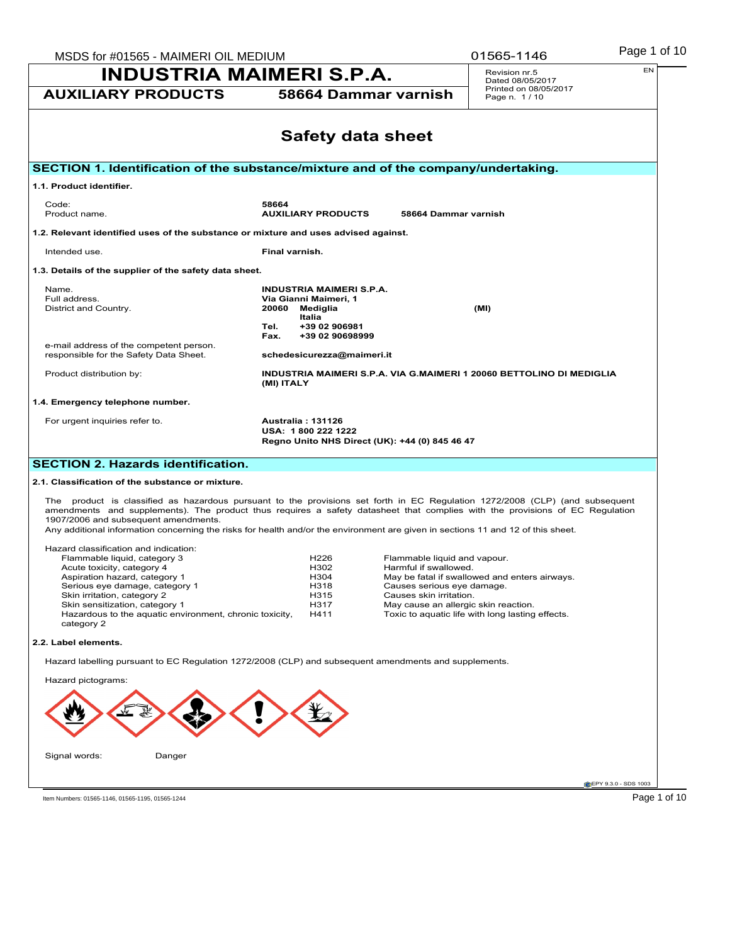| MSDS for #01565 - MAIMERI OIL MEDIUM                                                                                                                                                                                                                                                                                                                                                                                                     |                                         |                                                |                                                       | 01565-1146                                                           | Page 1 of 10         |
|------------------------------------------------------------------------------------------------------------------------------------------------------------------------------------------------------------------------------------------------------------------------------------------------------------------------------------------------------------------------------------------------------------------------------------------|-----------------------------------------|------------------------------------------------|-------------------------------------------------------|----------------------------------------------------------------------|----------------------|
| <b>INDUSTRIA MAIMERI S.P.A.</b>                                                                                                                                                                                                                                                                                                                                                                                                          |                                         |                                                |                                                       | Revision nr.5<br>Dated 08/05/2017                                    | EN                   |
| <b>AUXILIARY PRODUCTS</b>                                                                                                                                                                                                                                                                                                                                                                                                                |                                         | 58664 Dammar varnish                           |                                                       | Printed on 08/05/2017<br>Page n. 1/10                                |                      |
|                                                                                                                                                                                                                                                                                                                                                                                                                                          |                                         | <b>Safety data sheet</b>                       |                                                       |                                                                      |                      |
| SECTION 1. Identification of the substance/mixture and of the company/undertaking.                                                                                                                                                                                                                                                                                                                                                       |                                         |                                                |                                                       |                                                                      |                      |
| 1.1. Product identifier.                                                                                                                                                                                                                                                                                                                                                                                                                 |                                         |                                                |                                                       |                                                                      |                      |
| Code:<br>Product name.                                                                                                                                                                                                                                                                                                                                                                                                                   | 58664<br><b>AUXILIARY PRODUCTS</b>      |                                                | 58664 Dammar varnish                                  |                                                                      |                      |
| 1.2. Relevant identified uses of the substance or mixture and uses advised against.                                                                                                                                                                                                                                                                                                                                                      |                                         |                                                |                                                       |                                                                      |                      |
| Intended use.                                                                                                                                                                                                                                                                                                                                                                                                                            | Final varnish.                          |                                                |                                                       |                                                                      |                      |
| 1.3. Details of the supplier of the safety data sheet.                                                                                                                                                                                                                                                                                                                                                                                   |                                         |                                                |                                                       |                                                                      |                      |
| Name.                                                                                                                                                                                                                                                                                                                                                                                                                                    |                                         | <b>INDUSTRIA MAIMERI S.P.A.</b>                |                                                       |                                                                      |                      |
| Full address.<br>District and Country.                                                                                                                                                                                                                                                                                                                                                                                                   | Via Gianni Maimeri, 1<br>20060 Mediglia |                                                |                                                       | (MI)                                                                 |                      |
|                                                                                                                                                                                                                                                                                                                                                                                                                                          | Italia<br>Tel.                          | +39 02 906981                                  |                                                       |                                                                      |                      |
|                                                                                                                                                                                                                                                                                                                                                                                                                                          | Fax.                                    | +39 02 90698999                                |                                                       |                                                                      |                      |
| e-mail address of the competent person.<br>responsible for the Safety Data Sheet.                                                                                                                                                                                                                                                                                                                                                        |                                         | schedesicurezza@maimeri.it                     |                                                       |                                                                      |                      |
| Product distribution by:                                                                                                                                                                                                                                                                                                                                                                                                                 | (MI) ITALY                              |                                                |                                                       | INDUSTRIA MAIMERI S.P.A. VIA G.MAIMERI 1 20060 BETTOLINO DI MEDIGLIA |                      |
| 1.4. Emergency telephone number.                                                                                                                                                                                                                                                                                                                                                                                                         |                                         |                                                |                                                       |                                                                      |                      |
| For urgent inquiries refer to.                                                                                                                                                                                                                                                                                                                                                                                                           | Australia: 131126<br>USA: 1800 222 1222 | Regno Unito NHS Direct (UK): +44 (0) 845 46 47 |                                                       |                                                                      |                      |
| <b>SECTION 2. Hazards identification.</b>                                                                                                                                                                                                                                                                                                                                                                                                |                                         |                                                |                                                       |                                                                      |                      |
| 2.1. Classification of the substance or mixture.                                                                                                                                                                                                                                                                                                                                                                                         |                                         |                                                |                                                       |                                                                      |                      |
| The product is classified as hazardous pursuant to the provisions set forth in EC Regulation 1272/2008 (CLP) (and subsequent<br>amendments and supplements). The product thus requires a safety datasheet that complies with the provisions of EC Regulation<br>1907/2006 and subsequent amendments.<br>Any additional information concerning the risks for health and/or the environment are given in sections 11 and 12 of this sheet. |                                         |                                                |                                                       |                                                                      |                      |
| Hazard classification and indication:                                                                                                                                                                                                                                                                                                                                                                                                    |                                         |                                                |                                                       |                                                                      |                      |
| Flammable liquid, category 3<br>Acute toxicity, category 4                                                                                                                                                                                                                                                                                                                                                                               |                                         | H <sub>226</sub><br>H302                       | Flammable liquid and vapour.<br>Harmful if swallowed. |                                                                      |                      |
| Aspiration hazard, category 1                                                                                                                                                                                                                                                                                                                                                                                                            |                                         | H304                                           |                                                       | May be fatal if swallowed and enters airways.                        |                      |
| Serious eye damage, category 1<br>Skin irritation, category 2                                                                                                                                                                                                                                                                                                                                                                            |                                         | H318<br>H315                                   | Causes serious eye damage.<br>Causes skin irritation. |                                                                      |                      |
| Skin sensitization, category 1<br>Hazardous to the aquatic environment, chronic toxicity,                                                                                                                                                                                                                                                                                                                                                |                                         | H317<br>H411                                   | May cause an allergic skin reaction.                  | Toxic to aquatic life with long lasting effects.                     |                      |
| category 2                                                                                                                                                                                                                                                                                                                                                                                                                               |                                         |                                                |                                                       |                                                                      |                      |
| 2.2. Label elements.                                                                                                                                                                                                                                                                                                                                                                                                                     |                                         |                                                |                                                       |                                                                      |                      |
| Hazard labelling pursuant to EC Regulation 1272/2008 (CLP) and subsequent amendments and supplements.                                                                                                                                                                                                                                                                                                                                    |                                         |                                                |                                                       |                                                                      |                      |
| Hazard pictograms:                                                                                                                                                                                                                                                                                                                                                                                                                       |                                         |                                                |                                                       |                                                                      |                      |
|                                                                                                                                                                                                                                                                                                                                                                                                                                          |                                         |                                                |                                                       |                                                                      |                      |
|                                                                                                                                                                                                                                                                                                                                                                                                                                          |                                         |                                                |                                                       |                                                                      |                      |
| Signal words:<br>Danger                                                                                                                                                                                                                                                                                                                                                                                                                  |                                         |                                                |                                                       |                                                                      |                      |
|                                                                                                                                                                                                                                                                                                                                                                                                                                          |                                         |                                                |                                                       |                                                                      | EPY 9.3.0 - SDS 1003 |
|                                                                                                                                                                                                                                                                                                                                                                                                                                          |                                         |                                                |                                                       |                                                                      | Page 1 of 10         |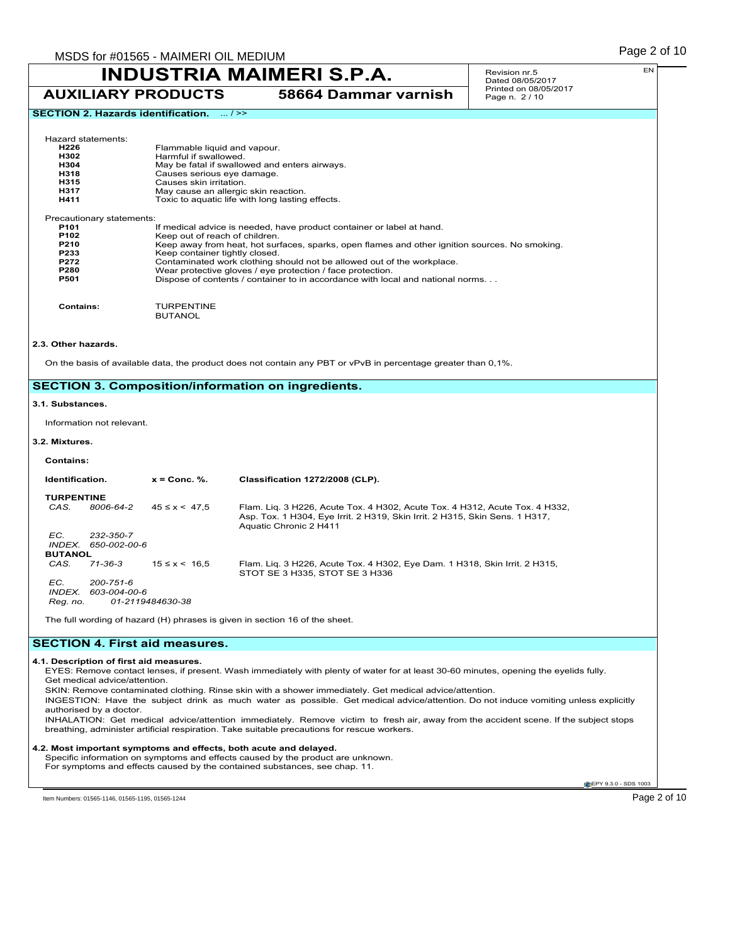Revision nr.5 Dated 08/05/2017 Printed on 08/05/2017 Page n. 2 / 10

## **SECTION 2. Hazards identification.** ... / >>

| Hazard statements:<br>H <sub>226</sub><br>H302<br>H304<br>H318<br>H315<br>H317<br>H411 | Flammable liquid and vapour.<br>Harmful if swallowed.<br>May be fatal if swallowed and enters airways.<br>Causes serious eye damage.<br>Causes skin irritation.<br>May cause an allergic skin reaction.<br>Toxic to aquatic life with long lasting effects. |
|----------------------------------------------------------------------------------------|-------------------------------------------------------------------------------------------------------------------------------------------------------------------------------------------------------------------------------------------------------------|
| Precautionary statements:                                                              |                                                                                                                                                                                                                                                             |
| P <sub>101</sub>                                                                       | If medical advice is needed, have product container or label at hand.                                                                                                                                                                                       |
| P <sub>102</sub>                                                                       | Keep out of reach of children.                                                                                                                                                                                                                              |
| P210                                                                                   | Keep away from heat, hot surfaces, sparks, open flames and other ignition sources. No smoking.                                                                                                                                                              |
| P233                                                                                   | Keep container tightly closed.                                                                                                                                                                                                                              |
| P272<br><b>P280</b>                                                                    | Contaminated work clothing should not be allowed out of the workplace.                                                                                                                                                                                      |
| P501                                                                                   | Wear protective gloves / eye protection / face protection.<br>Dispose of contents / container to in accordance with local and national norms                                                                                                                |
| Contains:                                                                              | TURPENTINE<br><b>BUTANOL</b>                                                                                                                                                                                                                                |

### **2.3. Other hazards.**

On the basis of available data, the product does not contain any PBT or vPvB in percentage greater than 0,1%.

## **SECTION 3. Composition/information on ingredients.**

#### **3.1. Substances.**

Information not relevant.

### **3.2. Mixtures.**

### **Contains:**

| Identification.           |                    | $x =$ Conc. %.      | Classification 1272/2008 (CLP).                                                                              |
|---------------------------|--------------------|---------------------|--------------------------------------------------------------------------------------------------------------|
| <b>TURPENTINE</b><br>CAS. | 8006-64-2          | $45 \le x \le 47.5$ | Flam. Lig. 3 H226, Acute Tox. 4 H302, Acute Tox. 4 H312, Acute Tox. 4 H332,                                  |
|                           |                    |                     | Asp. Tox. 1 H304, Eye Irrit. 2 H319, Skin Irrit. 2 H315, Skin Sens. 1 H317,<br>Aquatic Chronic 2 H411        |
| EC.                       | 232-350-7          |                     |                                                                                                              |
|                           | INDEX 650-002-00-6 |                     |                                                                                                              |
| <b>BUTANOL</b>            |                    |                     |                                                                                                              |
| CAS.                      | $71 - 36 - 3$      | $15 \le x \le 16.5$ | Flam. Lig. 3 H226, Acute Tox. 4 H302, Eye Dam. 1 H318, Skin Irrit. 2 H315,<br>STOT SE 3 H335, STOT SE 3 H336 |
| EC.                       | 200-751-6          |                     |                                                                                                              |
| INDEX.                    | 603-004-00-6       |                     |                                                                                                              |
| Reg. no.                  |                    | 01-2119484630-38    |                                                                                                              |

The full wording of hazard (H) phrases is given in section 16 of the sheet.

## **SECTION 4. First aid measures.**

#### **4.1. Description of first aid measures.**

EYES: Remove contact lenses, if present. Wash immediately with plenty of water for at least 30-60 minutes, opening the eyelids fully. Get medical advice/attention.

SKIN: Remove contaminated clothing. Rinse skin with a shower immediately. Get medical advice/attention.

INGESTION: Have the subject drink as much water as possible. Get medical advice/attention. Do not induce vomiting unless explicitly authorised by a doctor.

INHALATION: Get medical advice/attention immediately. Remove victim to fresh air, away from the accident scene. If the subject stops breathing, administer artificial respiration. Take suitable precautions for rescue workers.

#### **4.2. Most important symptoms and effects, both acute and delayed.**

Specific information on symptoms and effects caused by the product are unknown.

For symptoms and effects caused by the contained substances, see chap. 11.

**CEPY 9.3.0 - SDS 1003** 

Item Numbers: 01565-1146, 01565-1195, 01565-1244 Page 2 of 10

EN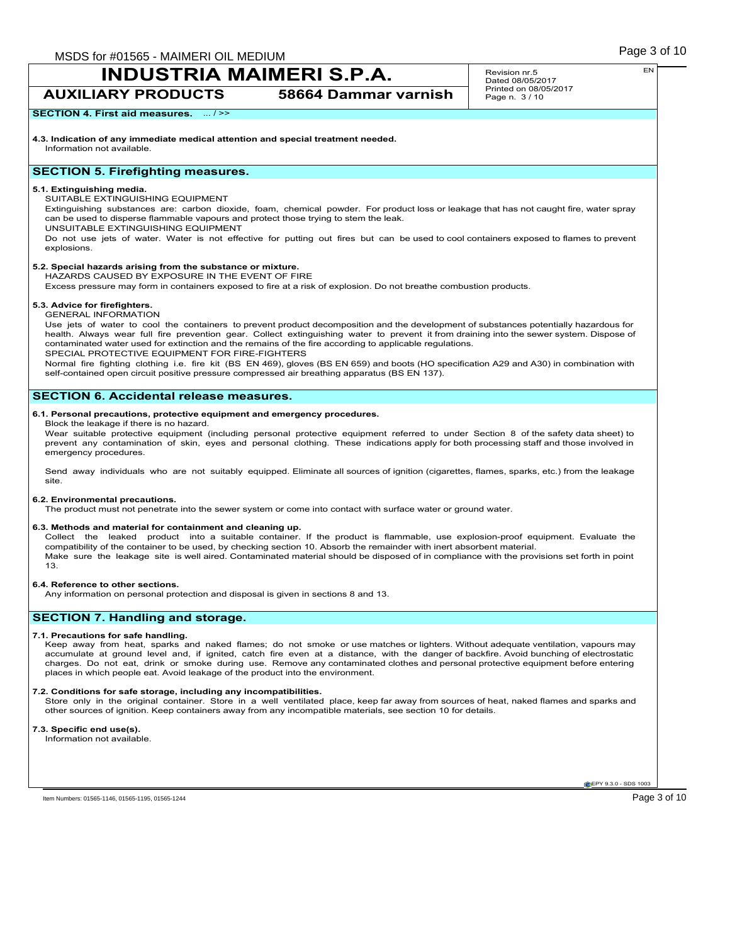## **INDUSTRIA MAIMERI S.P.A. AUXILIARY PRODUCTS 58664 Dammar varnish**

Revision nr.5 Dated 08/05/2017 Printed on 08/05/2017 Page n. 3 / 10

### **SECTION 4. First aid measures.** ... />>

**4.3. Indication of any immediate medical attention and special treatment needed.** Information not available.

### **SECTION 5. Firefighting measures.**

### **5.1. Extinguishing media.**

SUITABLE EXTINGUISHING EQUIPMENT

Extinguishing substances are: carbon dioxide, foam, chemical powder. For product loss or leakage that has not caught fire, water spray can be used to disperse flammable vapours and protect those trying to stem the leak.

UNSUITABLE EXTINGUISHING EQUIPMENT

Do not use jets of water. Water is not effective for putting out fires but can be used to cool containers exposed to flames to prevent explosions.

## **5.2. Special hazards arising from the substance or mixture.**

HAZARDS CAUSED BY EXPOSURE IN THE EVENT OF FIRE

Excess pressure may form in containers exposed to fire at a risk of explosion. Do not breathe combustion products.

#### **5.3. Advice for firefighters.**

GENERAL INFORMATION

Use jets of water to cool the containers to prevent product decomposition and the development of substances potentially hazardous for health. Always wear full fire prevention gear. Collect extinguishing water to prevent it from draining into the sewer system. Dispose of contaminated water used for extinction and the remains of the fire according to applicable regulations. SPECIAL PROTECTIVE EQUIPMENT FOR FIRE-FIGHTERS

Normal fire fighting clothing i.e. fire kit (BS EN 469), gloves (BS EN 659) and boots (HO specification A29 and A30) in combination with self-contained open circuit positive pressure compressed air breathing apparatus (BS EN 137).

### **SECTION 6. Accidental release measures.**

#### **6.1. Personal precautions, protective equipment and emergency procedures.** Block the leakage if there is no hazard.

Wear suitable protective equipment (including personal protective equipment referred to under Section 8 of the safety data sheet) to prevent any contamination of skin, eyes and personal clothing. These indications apply for both processing staff and those involved in emergency procedures.

Send away individuals who are not suitably equipped. Eliminate all sources of ignition (cigarettes, flames, sparks, etc.) from the leakage site.

#### **6.2. Environmental precautions.**

The product must not penetrate into the sewer system or come into contact with surface water or ground water.

#### **6.3. Methods and material for containment and cleaning up.**

Collect the leaked product into a suitable container. If the product is flammable, use explosion-proof equipment. Evaluate the compatibility of the container to be used, by checking section 10. Absorb the remainder with inert absorbent material. Make sure the leakage site is well aired. Contaminated material should be disposed of in compliance with the provisions set forth in point 13.

#### **6.4. Reference to other sections.**

Any information on personal protection and disposal is given in sections 8 and 13.

## **SECTION 7. Handling and storage.**

#### **7.1. Precautions for safe handling.**

Keep away from heat, sparks and naked flames; do not smoke or use matches or lighters. Without adequate ventilation, vapours may accumulate at ground level and, if ignited, catch fire even at a distance, with the danger of backfire. Avoid bunching of electrostatic charges. Do not eat, drink or smoke during use. Remove any contaminated clothes and personal protective equipment before entering places in which people eat. Avoid leakage of the product into the environment.

#### **7.2. Conditions for safe storage, including any incompatibilities.**

Store only in the original container. Store in a well ventilated place, keep far away from sources of heat, naked flames and sparks and other sources of ignition. Keep containers away from any incompatible materials, see section 10 for details.

#### **7.3. Specific end use(s).** Information not available.

**EPY 9.3.0 - SDS 1003** 

Item Numbers: 01565-1146, 01565-1195, 01565-1244 **Page 3 of 10**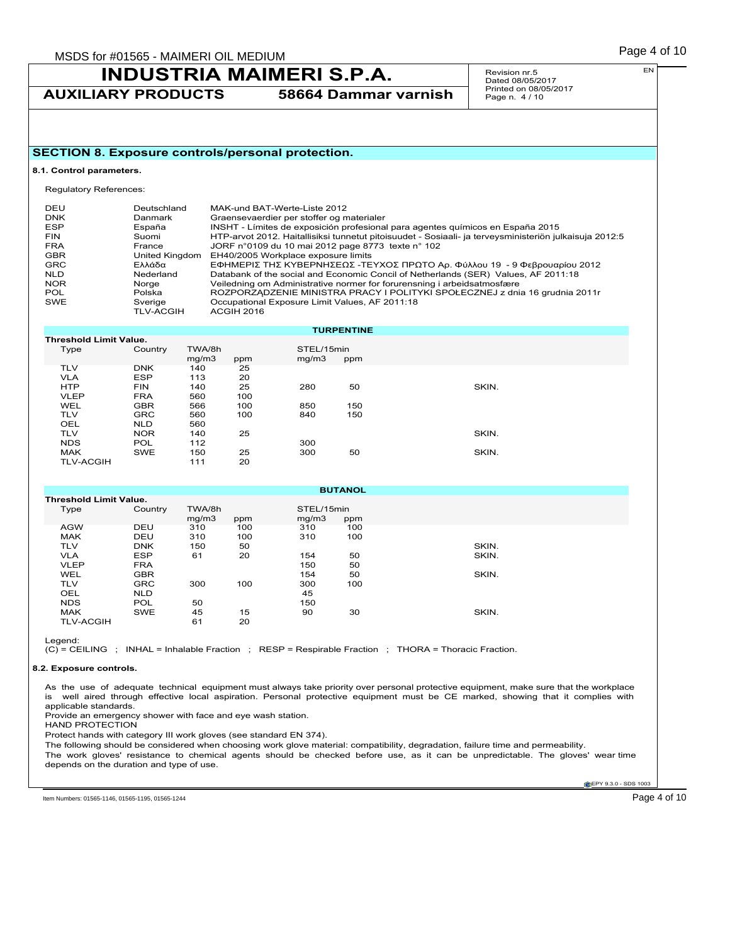**AUXILIARY PRODUCTS 58664 Dammar varnish**

Revision nr.5 Dated 08/05/2017 Printed on 08/05/2017 Page n. 4 / 10

## **SECTION 8. Exposure controls/personal protection.**

#### **8.1. Control parameters.**

Regulatory References:

| DEU<br><b>DNK</b><br>ESP | Deutschland<br>Danmark<br>España | MAK-und BAT-Werte-Liste 2012<br>Graensevaerdier per stoffer og materialer<br>INSHT - Límites de exposición profesional para agentes químicos en España 2015 |
|--------------------------|----------------------------------|-------------------------------------------------------------------------------------------------------------------------------------------------------------|
| <b>FIN</b>               | Suomi                            | HTP-arvot 2012. Haitallisiksi tunnetut pitoisuudet - Sosiaali- ja terveysministeriön julkaisuja 2012:5                                                      |
| <b>FRA</b>               | France                           | JORF n°0109 du 10 mai 2012 page 8773 texte n° 102                                                                                                           |
| <b>GBR</b>               | United Kingdom                   | EH40/2005 Workplace exposure limits                                                                                                                         |
| <b>GRC</b>               | Ελλάδα                           | ΕΦΗΜΕΡΙΣ ΤΗΣ ΚΥΒΕΡΝΗΣΕΩΣ -ΤΕΥΧΟΣ ΠΡΩΤΟ Αρ. Φύλλου 19 - 9 Φεβρουαρίου 2012                                                                                   |
| <b>NLD</b>               | Nederland                        | Databank of the social and Economic Concil of Netherlands (SER) Values, AF 2011:18                                                                          |
| <b>NOR</b>               | Norge                            | Veiledning om Administrative normer for forurensning i arbeidsatmosfære                                                                                     |
| POL                      | Polska                           | ROZPORZĄDZENIE MINISTRA PRACY I POLITYKI SPOŁECZNEJ z dnia 16 grudnia 2011r                                                                                 |
| SWE                      | Sverige<br><b>TLV-ACGIH</b>      | Occupational Exposure Limit Values, AF 2011:18<br><b>ACGIH 2016</b>                                                                                         |

|                  |                               |                 |     |                     | <b>TURPENTINE</b> |       |  |  |
|------------------|-------------------------------|-----------------|-----|---------------------|-------------------|-------|--|--|
|                  | <b>Threshold Limit Value.</b> |                 |     |                     |                   |       |  |  |
| Type             | Country                       | TWA/8h<br>mq/m3 | ppm | STEL/15min<br>mq/m3 | ppm               |       |  |  |
| <b>TLV</b>       | <b>DNK</b>                    | 140             | 25  |                     |                   |       |  |  |
| <b>VLA</b>       | <b>ESP</b>                    | 113             | 20  |                     |                   |       |  |  |
| <b>HTP</b>       | <b>FIN</b>                    | 140             | 25  | 280                 | 50                | SKIN. |  |  |
| <b>VLEP</b>      | <b>FRA</b>                    | 560             | 100 |                     |                   |       |  |  |
| <b>WEL</b>       | <b>GBR</b>                    | 566             | 100 | 850                 | 150               |       |  |  |
| <b>TLV</b>       | <b>GRC</b>                    | 560             | 100 | 840                 | 150               |       |  |  |
| <b>OEL</b>       | <b>NLD</b>                    | 560             |     |                     |                   |       |  |  |
| <b>TLV</b>       | <b>NOR</b>                    | 140             | 25  |                     |                   | SKIN. |  |  |
| <b>NDS</b>       | <b>POL</b>                    | 112             |     | 300                 |                   |       |  |  |
| <b>MAK</b>       | SWE                           | 150             | 25  | 300                 | 50                | SKIN. |  |  |
| <b>TLV-ACGIH</b> |                               | 111             | 20  |                     |                   |       |  |  |

|                               |            |                 |     |                     | <b>BUTANOL</b> |       |
|-------------------------------|------------|-----------------|-----|---------------------|----------------|-------|
| <b>Threshold Limit Value.</b> |            |                 |     |                     |                |       |
| Type                          | Country    | TWA/8h<br>mq/m3 | ppm | STEL/15min<br>mg/m3 | ppm            |       |
| <b>AGW</b>                    | DEU        | 310             | 100 | 310                 | 100            |       |
| <b>MAK</b>                    | DEU        | 310             | 100 | 310                 | 100            |       |
| <b>TLV</b>                    | <b>DNK</b> | 150             | 50  |                     |                | SKIN. |
| <b>VLA</b>                    | <b>ESP</b> | 61              | 20  | 154                 | 50             | SKIN. |
| <b>VLEP</b>                   | <b>FRA</b> |                 |     | 150                 | 50             |       |
| <b>WEL</b>                    | <b>GBR</b> |                 |     | 154                 | 50             | SKIN. |
| <b>TLV</b>                    | <b>GRC</b> | 300             | 100 | 300                 | 100            |       |
| OEL                           | <b>NLD</b> |                 |     | 45                  |                |       |
| <b>NDS</b>                    | <b>POL</b> | 50              |     | 150                 |                |       |
| <b>MAK</b>                    | <b>SWE</b> | 45              | 15  | 90                  | 30             | SKIN. |
| <b>TLV-ACGIH</b>              |            | 61              | 20  |                     |                |       |

Legend:

 $(C)$  = CEILING ; INHAL = Inhalable Fraction ; RESP = Respirable Fraction ; THORA = Thoracic Fraction.

#### **8.2. Exposure controls.**

As the use of adequate technical equipment must always take priority over personal protective equipment, make sure that the workplace is well aired through effective local aspiration. Personal protective equipment must be CE marked, showing that it complies with applicable standards.

Provide an emergency shower with face and eye wash station. HAND PROTECTION

Protect hands with category III work gloves (see standard EN 374).

The following should be considered when choosing work glove material: compatibility, degradation, failure time and permeability. The work gloves' resistance to chemical agents should be checked before use, as it can be unpredictable. The gloves' wear time depends on the duration and type of use.

**CEPY 9.3.0 - SDS 1003** 

Item Numbers: 01565-1146, 01565-1195, 01565-1244 Page 4 of 10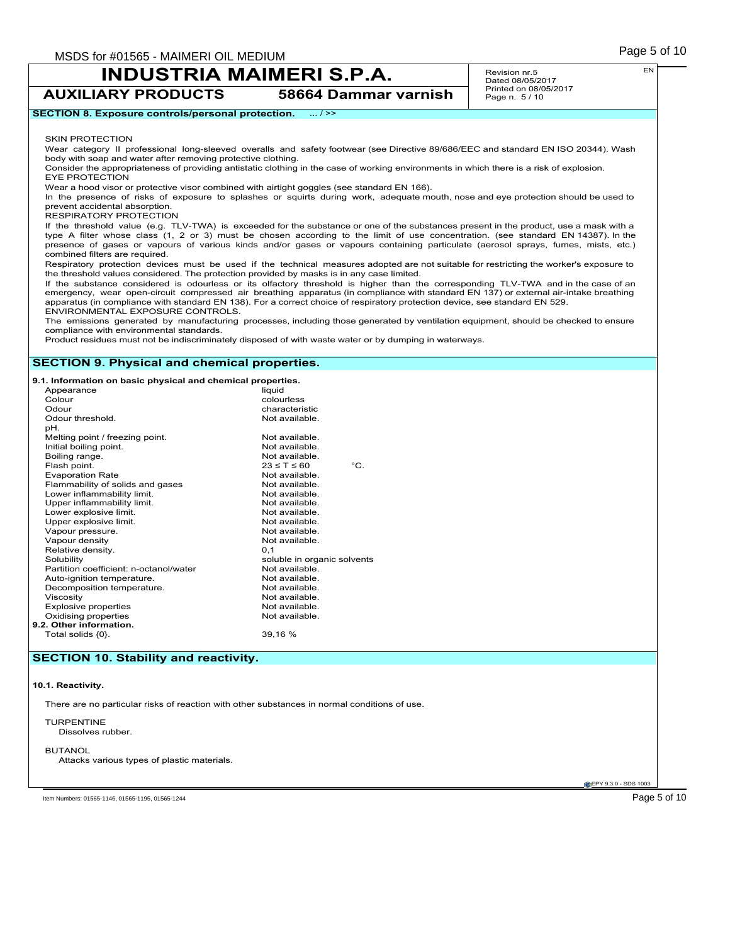**AUXILIARY PRODUCTS 58664 Dammar varnish**

Revision nr.5 Dated 08/05/2017 Printed on 08/05/2017 Page n. 5 / 10

**SECTION 8. Exposure controls/personal protection.** ... / >>

SKIN PROTECTION

Wear category II professional long-sleeved overalls and safety footwear (see Directive 89/686/EEC and standard EN ISO 20344). Wash body with soap and water after removing protective clothing.

Consider the appropriateness of providing antistatic clothing in the case of working environments in which there is a risk of explosion. EYE PROTECTION

Wear a hood visor or protective visor combined with airtight goggles (see standard EN 166).

In the presence of risks of exposure to splashes or squirts during work, adequate mouth, nose and eye protection should be used to prevent accidental absorption.

RESPIRATORY PROTECTION

If the threshold value (e.g. TLV-TWA) is exceeded for the substance or one of the substances present in the product, use a mask with a type A filter whose class (1, 2 or 3) must be chosen according to the limit of use concentration. (see standard EN 14387). In the presence of gases or vapours of various kinds and/or gases or vapours containing particulate (aerosol sprays, fumes, mists, etc.) combined filters are required.

Respiratory protection devices must be used if the technical measures adopted are not suitable for restricting the worker's exposure to the threshold values considered. The protection provided by masks is in any case limited.

If the substance considered is odourless or its olfactory threshold is higher than the corresponding TLV-TWA and in the case of an emergency, wear open-circuit compressed air breathing apparatus (in compliance with standard EN 137) or external air-intake breathing apparatus (in compliance with standard EN 138). For a correct choice of respiratory protection device, see standard EN 529. ENVIRONMENTAL EXPOSURE CONTROLS.

The emissions generated by manufacturing processes, including those generated by ventilation equipment, should be checked to ensure compliance with environmental standards.

Product residues must not be indiscriminately disposed of with waste water or by dumping in waterways.

## **SECTION 9. Physical and chemical properties.**

**9.1. Information on basic physical and chemical properties.**

| pH.<br>Melting point / freezing point.<br>Not available.<br>Initial boiling point.<br>Not available.<br>Boiling range.<br>Not available.<br>Flash point.<br>$23 \leq T \leq 60$<br><b>Evaporation Rate</b><br>Not available.<br>Flammability of solids and gases<br>Not available.<br>Lower inflammability limit.<br>Not available.<br>Upper inflammability limit.<br>Not available.<br>Lower explosive limit.<br>Not available.<br>Upper explosive limit.<br>Not available.<br>Vapour pressure.<br>Not available.<br>Vapour density<br>Not available.<br>Relative density.<br>0.1<br>Solubility<br>soluble in organic solvents<br>Partition coefficient: n-octanol/water<br>Not available.<br>Auto-ignition temperature.<br>Not available.<br>Decomposition temperature.<br>Not available.<br>Viscosity<br>Not available.<br>Explosive properties<br>Not available.<br>Oxidising properties<br>Not available. | Appearance<br>Colour<br>Odour<br>Odour threshold. | liquid<br>colourless<br>characteristic<br>Not available. |               |
|----------------------------------------------------------------------------------------------------------------------------------------------------------------------------------------------------------------------------------------------------------------------------------------------------------------------------------------------------------------------------------------------------------------------------------------------------------------------------------------------------------------------------------------------------------------------------------------------------------------------------------------------------------------------------------------------------------------------------------------------------------------------------------------------------------------------------------------------------------------------------------------------------------------|---------------------------------------------------|----------------------------------------------------------|---------------|
|                                                                                                                                                                                                                                                                                                                                                                                                                                                                                                                                                                                                                                                                                                                                                                                                                                                                                                                |                                                   |                                                          | $^{\circ}$ C. |
| 39,16 %<br>Total solids {0}.                                                                                                                                                                                                                                                                                                                                                                                                                                                                                                                                                                                                                                                                                                                                                                                                                                                                                   | 9.2. Other information.                           |                                                          |               |

### **SECTION 10. Stability and reactivity.**

#### **10.1. Reactivity.**

There are no particular risks of reaction with other substances in normal conditions of use.

TURPENTINE Dissolves rubber.

**BUTANOL** 

Attacks various types of plastic materials.

**CEPY 9.3.0 - SDS 1003** 

Item Numbers: 01565-1146, 01565-1195, 01565-1244 **Page 5 of 10** 

EN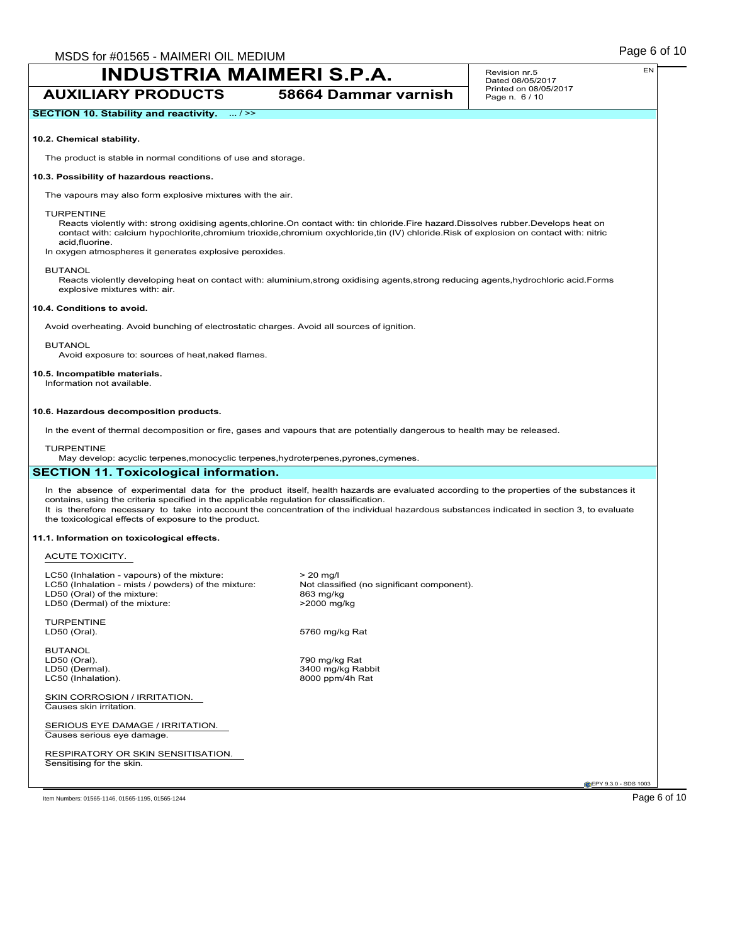$\overline{1}$ 

# **INDUSTRIA MAIMERI S.P.A.**

| <b>INDUSTRIA MAIMERI S.P.A.</b>                                                                                                                                                                                                                                                                                                                                                                                                              |                                                                                       | EN<br>Revision nr.5<br>Dated 08/05/2017 |
|----------------------------------------------------------------------------------------------------------------------------------------------------------------------------------------------------------------------------------------------------------------------------------------------------------------------------------------------------------------------------------------------------------------------------------------------|---------------------------------------------------------------------------------------|-----------------------------------------|
| <b>AUXILIARY PRODUCTS</b>                                                                                                                                                                                                                                                                                                                                                                                                                    | 58664 Dammar varnish                                                                  | Printed on 08/05/2017<br>Page n. 6 / 10 |
| SECTION 10. Stability and reactivity.  / >>                                                                                                                                                                                                                                                                                                                                                                                                  |                                                                                       |                                         |
| 10.2. Chemical stability.                                                                                                                                                                                                                                                                                                                                                                                                                    |                                                                                       |                                         |
| The product is stable in normal conditions of use and storage.                                                                                                                                                                                                                                                                                                                                                                               |                                                                                       |                                         |
| 10.3. Possibility of hazardous reactions.                                                                                                                                                                                                                                                                                                                                                                                                    |                                                                                       |                                         |
| The vapours may also form explosive mixtures with the air.                                                                                                                                                                                                                                                                                                                                                                                   |                                                                                       |                                         |
| <b>TURPENTINE</b><br>Reacts violently with: strong oxidising agents, chlorine. On contact with: tin chloride. Fire hazard. Dissolves rubber. Develops heat on<br>contact with: calcium hypochlorite, chromium trioxide, chromium oxychloride, tin (IV) chloride. Risk of explosion on contact with: nitric<br>acid, fluorine.<br>In oxygen atmospheres it generates explosive peroxides.                                                     |                                                                                       |                                         |
| <b>BUTANOL</b><br>Reacts violently developing heat on contact with: aluminium, strong oxidising agents, strong reducing agents, hydrochloric acid. Forms<br>explosive mixtures with: air.                                                                                                                                                                                                                                                    |                                                                                       |                                         |
| 10.4. Conditions to avoid.                                                                                                                                                                                                                                                                                                                                                                                                                   |                                                                                       |                                         |
| Avoid overheating. Avoid bunching of electrostatic charges. Avoid all sources of ignition.                                                                                                                                                                                                                                                                                                                                                   |                                                                                       |                                         |
| <b>BUTANOL</b><br>Avoid exposure to: sources of heat, naked flames.                                                                                                                                                                                                                                                                                                                                                                          |                                                                                       |                                         |
| 10.5. Incompatible materials.<br>Information not available.                                                                                                                                                                                                                                                                                                                                                                                  |                                                                                       |                                         |
| In the event of thermal decomposition or fire, gases and vapours that are potentially dangerous to health may be released.<br><b>TURPENTINE</b><br>May develop: acyclic terpenes, monocyclic terpenes, hydroterpenes, pyrones, cymenes.<br><b>SECTION 11. Toxicological information.</b>                                                                                                                                                     |                                                                                       |                                         |
| In the absence of experimental data for the product itself, health hazards are evaluated according to the properties of the substances it<br>contains, using the criteria specified in the applicable regulation for classification.<br>It is therefore necessary to take into account the concentration of the individual hazardous substances indicated in section 3, to evaluate<br>the toxicological effects of exposure to the product. |                                                                                       |                                         |
| 11.1. Information on toxicological effects.                                                                                                                                                                                                                                                                                                                                                                                                  |                                                                                       |                                         |
| ACUTE TOXICITY.                                                                                                                                                                                                                                                                                                                                                                                                                              |                                                                                       |                                         |
| LC50 (Inhalation - vapours) of the mixture:<br>LC50 (Inhalation - mists / powders) of the mixture:<br>LD50 (Oral) of the mixture:<br>LD50 (Dermal) of the mixture:                                                                                                                                                                                                                                                                           | $> 20$ mg/l<br>Not classified (no significant component).<br>863 mg/kg<br>>2000 mg/kg |                                         |
| <b>TURPENTINE</b><br>LD50 (Oral).                                                                                                                                                                                                                                                                                                                                                                                                            | 5760 mg/kg Rat                                                                        |                                         |
| <b>BUTANOL</b><br>LD50 (Oral).<br>LD50 (Dermal).<br>LC50 (Inhalation).                                                                                                                                                                                                                                                                                                                                                                       | 790 mg/kg Rat<br>3400 mg/kg Rabbit<br>8000 ppm/4h Rat                                 |                                         |
| SKIN CORROSION / IRRITATION.<br>Causes skin irritation.                                                                                                                                                                                                                                                                                                                                                                                      |                                                                                       |                                         |
| SERIOUS EYE DAMAGE / IRRITATION.<br>Causes serious eye damage.                                                                                                                                                                                                                                                                                                                                                                               |                                                                                       |                                         |
| RESPIRATORY OR SKIN SENSITISATION.<br>Sensitising for the skin.                                                                                                                                                                                                                                                                                                                                                                              |                                                                                       |                                         |
|                                                                                                                                                                                                                                                                                                                                                                                                                                              |                                                                                       | EPY 9.3.0 - SDS 1003                    |
| Item Numbers: 01565-1146, 01565-1195, 01565-1244                                                                                                                                                                                                                                                                                                                                                                                             |                                                                                       | Page 6 of 10                            |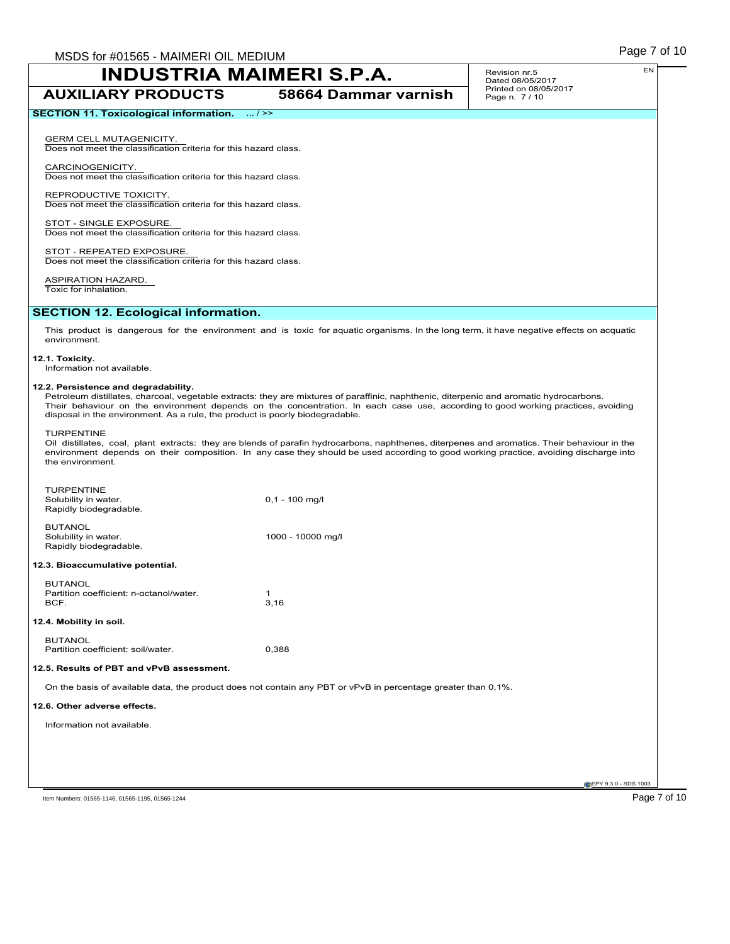**AUXILIARY PRODUCTS 58664 Dammar varnish**

Revision nr.5 Dated 08/05/2017 Printed on 08/05/2017 Page n. 7 / 10

GERM CELL MUTAGENICITY. Does not meet the classification criteria for this hazard class.

CARCINOGENICITY. Does not meet the classification criteria for this hazard class.

REPRODUCTIVE TOXICITY. Does not meet the classification criteria for this hazard class.

STOT - SINGLE EXPOSURE. Does not meet the classification criteria for this hazard class.

STOT - REPEATED EXPOSURE Does not meet the classification criteria for this hazard class.

ASPIRATION HAZARD. Toxic for inhalation.

### **SECTION 12. Ecological information.**

This product is dangerous for the environment and is toxic for aquatic organisms. In the long term, it have negative effects on acquatic environment.

#### **12.1. Toxicity.**

Information not available.

### **12.2. Persistence and degradability.**

Petroleum distillates, charcoal, vegetable extracts: they are mixtures of paraffinic, naphthenic, diterpenic and aromatic hydrocarbons. Their behaviour on the environment depends on the concentration. In each case use, according to good working practices, avoiding disposal in the environment. As a rule, the product is poorly biodegradable.

#### TURPENTINE

Oil distillates, coal, plant extracts: they are blends of parafin hydrocarbons, naphthenes, diterpenes and aromatics. Their behaviour in the environment depends on their composition. In any case they should be used according to good working practice, avoiding discharge into the environment.

| <b>TURPENTINE</b><br>Solubility in water.<br>Rapidly biodegradable. | $0,1 - 100$ mg/l                                                                                              |
|---------------------------------------------------------------------|---------------------------------------------------------------------------------------------------------------|
| <b>BUTANOL</b><br>Solubility in water.<br>Rapidly biodegradable.    | 1000 - 10000 mg/l                                                                                             |
| 12.3. Bioaccumulative potential.                                    |                                                                                                               |
| <b>BUTANOL</b><br>Partition coefficient: n-octanol/water.<br>BCF.   | 1<br>3,16                                                                                                     |
| 12.4. Mobility in soil.                                             |                                                                                                               |
| <b>BUTANOL</b><br>Partition coefficient: soil/water.                | 0,388                                                                                                         |
| 12.5. Results of PBT and vPvB assessment.                           |                                                                                                               |
|                                                                     | On the basis of available data, the product does not contain any PBT or vPvB in percentage greater than 0,1%. |
| 12.6. Other adverse effects.                                        |                                                                                                               |
| Information not available.                                          |                                                                                                               |
|                                                                     |                                                                                                               |
|                                                                     |                                                                                                               |
|                                                                     | EPY 9.3.0 - SDS 1003                                                                                          |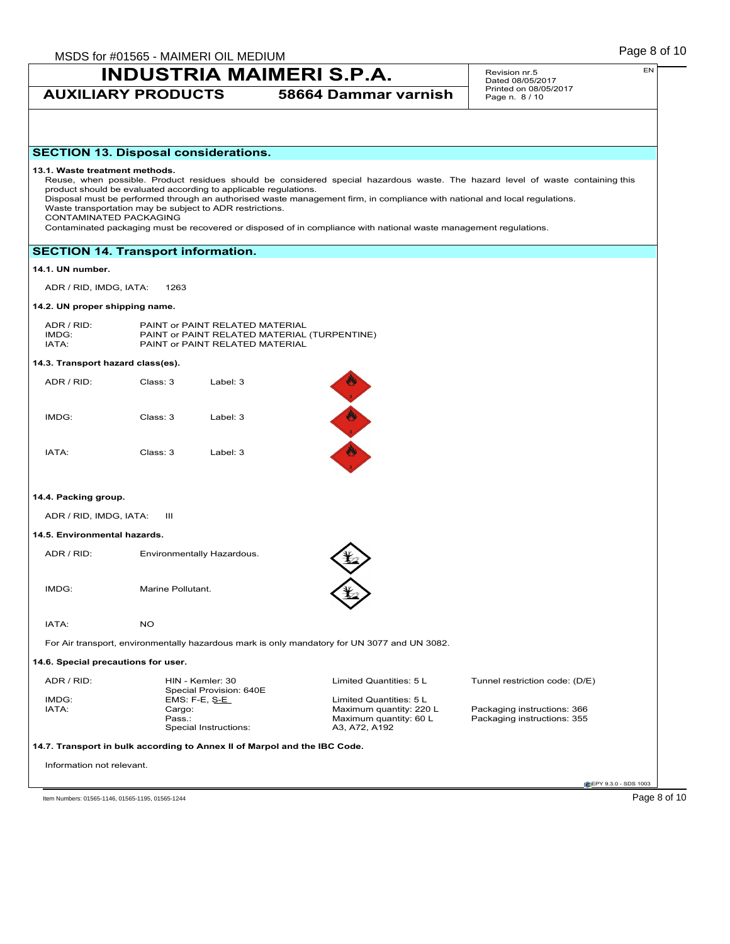## **AUXILIARY PRODUCTS 58664 Dammar varnish**

Revision nr.5 Dated 08/05/2017 Printed on 08/05/2017 Page n. 8 / 10

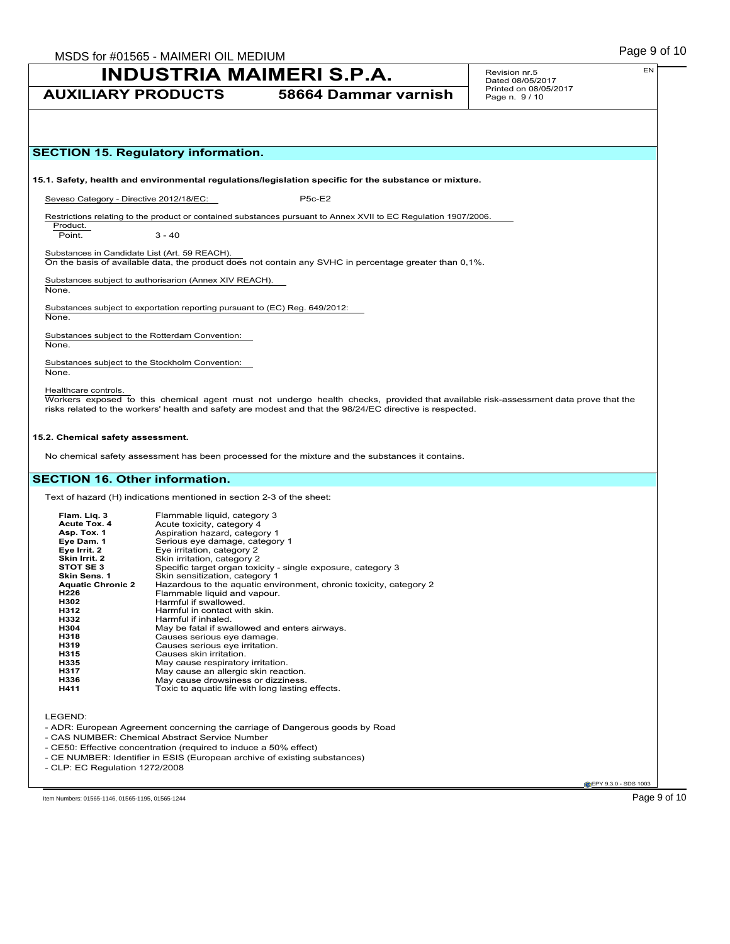## Page 9 of 10 MSDS for #01565 - MAIMERI OIL MEDIUM

## **INDUSTRIA MAIMERI S.P.A.**

Revision nr.5 Dated 08/05/2017

## **AUXILIARY PRODUCTS 58664 Dammar varnish** Printed on 08/05/2017 Page n. 9 / 10 EN **CEPY 9.3.0 - SDS 1003 SECTION 15. Regulatory information. 15.1. Safety, health and environmental regulations/legislation specific for the substance or mixture.** Seveso Category - Directive 2012/18/EC: P5C-E2 Restrictions relating to the product or contained substances pursuant to Annex XVII to EC Regulation 1907/2006. Product. Point. 3 - 40 Substances in Candidate List (Art. 59 REACH). On the basis of available data, the product does not contain any SVHC in percentage greater than 0,1%. Substances subject to authorisarion (Annex XIV REACH). None. Substances subject to exportation reporting pursuant to (EC) Reg. 649/2012: None. Substances subject to the Rotterdam Convention: None. Substances subject to the Stockholm Convention: None. Healthcare controls. Workers exposed to this chemical agent must not undergo health checks, provided that available risk-assessment data prove that the risks related to the workers' health and safety are modest and that the 98/24/EC directive is respected. **15.2. Chemical safety assessment.** No chemical safety assessment has been processed for the mixture and the substances it contains. **SECTION 16. Other information.** Text of hazard (H) indications mentioned in section 2-3 of the sheet: **Flam. Liq. 3** Flammable liquid, category 3<br>**Acute Tox. 4** Acute toxicity, category 4 **Acute Tox. 4** Acute toxicity, category 4<br> **Asp. Tox. 1** Aspiration hazard. catego **Asp. Tox. 1** Aspiration hazard, category 1<br> **Eye Dam. 1** Serious eye damage, catego **Eye Dam. 1** Serious eye damage, category 1<br>**Eye Irrit. 2** Eye irritation, category 2 **Eye Irrit. 2** Eye irritation, category 2<br>**Skin Irrit. 2** Skin irritation, category 2 **Skin Irrit. 2** Skin irritation, category 2<br>**STOT SE 3** Specific target organ toxic **STOT SE 3** Specific target organ toxicity - single exposure, category 3<br>**Skin Sens. 1** Skin sensitization, category 1 **Skin Sens. 1** Skin sensitization, category 1 **Aquatic Chronic 2** Hazardous to the aquatic environment, chronic toxicity, category 2 **Aquatic Chronic 2** Hazardous to the aquatic envi-<br> **H226** Flammable liquid and vapour.<br> **H202** Harmful if swallowed. **H302** Harmful if swallowed<br>**H312** Harmful in contact wi **H312** Harmful in contact with skin.<br>**H332** Harmful if inhaled. **H332** Harmful if inhaled.<br> **H304** May be fatal if swa **H304** May be fatal if swallowed and enters airways. **H318** Causes serious eye damage.<br> **H319** Causes serious eye irritation. **H319** Causes serious eye irritation. **H315** Causes skin irritation. **H335** May cause respiratory irritation.<br>**H317** May cause an allergic skin read **H317** May cause an allergic skin reaction.<br>**H336** May cause drowsiness or dizziness. **H336** May cause drowsiness or dizziness. Toxic to aquatic life with long lasting effects. LEGEND: - ADR: European Agreement concerning the carriage of Dangerous goods by Road - CAS NUMBER: Chemical Abstract Service Number - CE50: Effective concentration (required to induce a 50% effect) - CE NUMBER: Identifier in ESIS (European archive of existing substances) - CLP: EC Regulation 1272/2008 Item Numbers: 01565-1146, 01565-1195, 01565-1244 **Page 9 of 10**